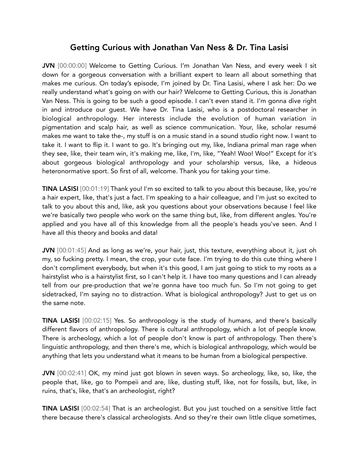# Getting Curious with Jonathan Van Ness & Dr. Tina Lasisi

JVN [00:00:00] Welcome to Getting Curious. I'm Jonathan Van Ness, and every week I sit down for a gorgeous conversation with a brilliant expert to learn all about something that makes me curious. On today's episode, I'm joined by Dr. Tina Lasisi, where I ask her: Do we really understand what's going on with our hair? Welcome to Getting Curious, this is Jonathan Van Ness. This is going to be such a good episode. I can't even stand it. I'm gonna dive right in and introduce our guest. We have Dr. Tina Lasisi, who is a postdoctoral researcher in biological anthropology. Her interests include the evolution of human variation in pigmentation and scalp hair, as well as science communication. Your, like, scholar resumé makes me want to take the-, my stuff is on a music stand in a sound studio right now. I want to take it. I want to flip it. I want to go. It's bringing out my, like, Indiana primal man rage when they see, like, their team win, it's making me, like, I'm, like, "Yeah! Woo! Woo!" Except for it's about gorgeous biological anthropology and your scholarship versus, like, a hideous heteronormative sport. So first of all, welcome. Thank you for taking your time.

TINA LASISI [00:01:19] Thank you! I'm so excited to talk to you about this because, like, you're a hair expert, like, that's just a fact. I'm speaking to a hair colleague, and I'm just so excited to talk to you about this and, like, ask you questions about your observations because I feel like we're basically two people who work on the same thing but, like, from different angles. You're applied and you have all of this knowledge from all the people's heads you've seen. And I have all this theory and books and data!

JVN [00:01:45] And as long as we're, your hair, just, this texture, everything about it, just oh my, so fucking pretty. I mean, the crop, your cute face. I'm trying to do this cute thing where I don't compliment everybody, but when it's this good, I am just going to stick to my roots as a hairstylist who is a hairstylist first, so I can't help it. I have too many questions and I can already tell from our pre-production that we're gonna have too much fun. So I'm not going to get sidetracked, I'm saying no to distraction. What is biological anthropology? Just to get us on the same note.

TINA LASISI [00:02:15] Yes. So anthropology is the study of humans, and there's basically different flavors of anthropology. There is cultural anthropology, which a lot of people know. There is archeology, which a lot of people don't know is part of anthropology. Then there's linguistic anthropology, and then there's me, which is biological anthropology, which would be anything that lets you understand what it means to be human from a biological perspective.

JVN [00:02:41] OK, my mind just got blown in seven ways. So archeology, like, so, like, the people that, like, go to Pompeii and are, like, dusting stuff, like, not for fossils, but, like, in ruins, that's, like, that's an archeologist, right?

TINA LASISI [00:02:54] That is an archeologist. But you just touched on a sensitive little fact there because there's classical archeologists. And so they're their own little clique sometimes,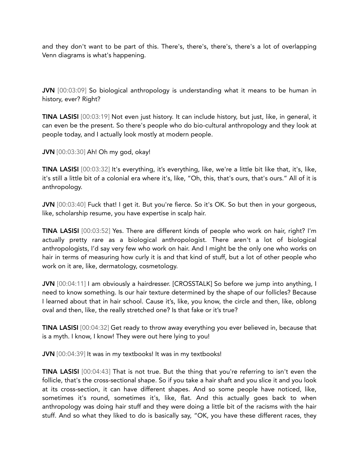and they don't want to be part of this. There's, there's, there's, there's a lot of overlapping Venn diagrams is what's happening.

JVN [00:03:09] So biological anthropology is understanding what it means to be human in history, ever? Right?

TINA LASISI [00:03:19] Not even just history. It can include history, but just, like, in general, it can even be the present. So there's people who do bio-cultural anthropology and they look at people today, and I actually look mostly at modern people.

JVN [00:03:30] Ah! Oh my god, okay!

TINA LASISI [00:03:32] It's everything, it's everything, like, we're a little bit like that, it's, like, it's still a little bit of a colonial era where it's, like, "Oh, this, that's ours, that's ours." All of it is anthropology.

JVN [00:03:40] Fuck that! I get it. But you're fierce. So it's OK. So but then in your gorgeous, like, scholarship resume, you have expertise in scalp hair.

TINA LASISI [00:03:52] Yes. There are different kinds of people who work on hair, right? I'm actually pretty rare as a biological anthropologist. There aren't a lot of biological anthropologists, I'd say very few who work on hair. And I might be the only one who works on hair in terms of measuring how curly it is and that kind of stuff, but a lot of other people who work on it are, like, dermatology, cosmetology.

JVN [00:04:11] I am obviously a hairdresser. [CROSSTALK] So before we jump into anything, I need to know something. Is our hair texture determined by the shape of our follicles? Because I learned about that in hair school. Cause it's, like, you know, the circle and then, like, oblong oval and then, like, the really stretched one? Is that fake or it's true?

TINA LASISI [00:04:32] Get ready to throw away everything you ever believed in, because that is a myth. I know, I know! They were out here lying to you!

JVN [00:04:39] It was in my textbooks! It was in my textbooks!

TINA LASISI [00:04:43] That is not true. But the thing that you're referring to isn't even the follicle, that's the cross-sectional shape. So if you take a hair shaft and you slice it and you look at its cross-section, it can have different shapes. And so some people have noticed, like, sometimes it's round, sometimes it's, like, flat. And this actually goes back to when anthropology was doing hair stuff and they were doing a little bit of the racisms with the hair stuff. And so what they liked to do is basically say, "OK, you have these different races, they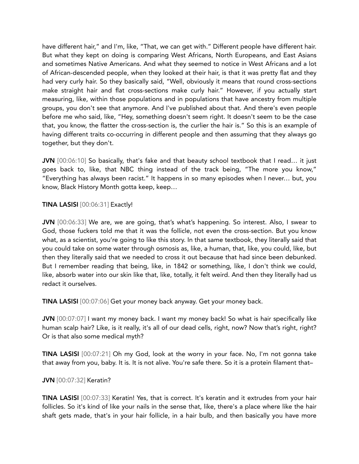have different hair," and I'm, like, "That, we can get with." Different people have different hair. But what they kept on doing is comparing West Africans, North Europeans, and East Asians and sometimes Native Americans. And what they seemed to notice in West Africans and a lot of African-descended people, when they looked at their hair, is that it was pretty flat and they had very curly hair. So they basically said, "Well, obviously it means that round cross-sections make straight hair and flat cross-sections make curly hair." However, if you actually start measuring, like, within those populations and in populations that have ancestry from multiple groups, you don't see that anymore. And I've published about that. And there's even people before me who said, like, "Hey, something doesn't seem right. It doesn't seem to be the case that, you know, the flatter the cross-section is, the curlier the hair is." So this is an example of having different traits co-occurring in different people and then assuming that they always go together, but they don't.

JVN [00:06:10] So basically, that's fake and that beauty school textbook that I read... it just goes back to, like, that NBC thing instead of the track being, "The more you know," "Everything has always been racist." It happens in so many episodes when I never… but, you know, Black History Month gotta keep, keep…

# TINA LASISI [00:06:31] Exactly!

JVN [00:06:33] We are, we are going, that's what's happening. So interest. Also, I swear to God, those fuckers told me that it was the follicle, not even the cross-section. But you know what, as a scientist, you're going to like this story. In that same textbook, they literally said that you could take on some water through osmosis as, like, a human, that, like, you could, like, but then they literally said that we needed to cross it out because that had since been debunked. But I remember reading that being, like, in 1842 or something, like, I don't think we could, like, absorb water into our skin like that, like, totally, it felt weird. And then they literally had us redact it ourselves.

TINA LASISI [00:07:06] Get your money back anyway. Get your money back.

JVN [00:07:07] I want my money back. I want my money back! So what is hair specifically like human scalp hair? Like, is it really, it's all of our dead cells, right, now? Now that's right, right? Or is that also some medical myth?

TINA LASISI [00:07:21] Oh my God, look at the worry in your face. No, I'm not gonna take that away from you, baby. It is. It is not alive. You're safe there. So it is a protein filament that–

# JVN [00:07:32] Keratin?

TINA LASISI [00:07:33] Keratin! Yes, that is correct. It's keratin and it extrudes from your hair follicles. So it's kind of like your nails in the sense that, like, there's a place where like the hair shaft gets made, that's in your hair follicle, in a hair bulb, and then basically you have more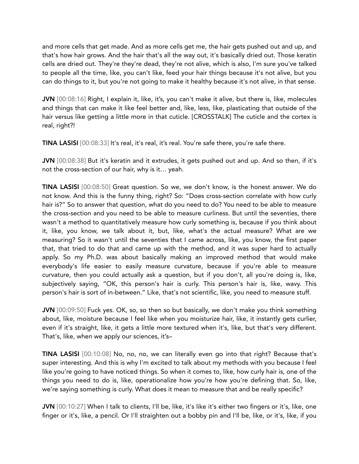and more cells that get made. And as more cells get me, the hair gets pushed out and up, and that's how hair grows. And the hair that's all the way out, it's basically dried out. Those keratin cells are dried out. They're they're dead, they're not alive, which is also, I'm sure you've talked to people all the time, like, you can't like, feed your hair things because it's not alive, but you can do things to it, but you're not going to make it healthy because it's not alive, in that sense.

JVN [00:08:16] Right, I explain it, like, it's, you can't make it alive, but there is, like, molecules and things that can make it like feel better and, like, less, like, plasticating that outside of the hair versus like getting a little more in that cuticle. [CROSSTALK] The cuticle and the cortex is real, right?!

TINA LASISI [00:08:33] It's real, it's real, it's real. You're safe there, you're safe there.

JVN [00:08:38] But it's keratin and it extrudes, it gets pushed out and up. And so then, if it's not the cross-section of our hair, why is it… yeah.

TINA LASISI [00:08:50] Great question. So we, we don't know, is the honest answer. We do not know. And this is the funny thing, right? So: "Does cross-section correlate with how curly hair is?" So to answer that question, what do you need to do? You need to be able to measure the cross-section and you need to be able to measure curliness. But until the seventies, there wasn't a method to quantitatively measure how curly something is, because if you think about it, like, you know, we talk about it, but, like, what's the actual measure? What are we measuring? So it wasn't until the seventies that I came across, like, you know, the first paper that, that tried to do that and came up with the method, and it was super hard to actually apply. So my Ph.D. was about basically making an improved method that would make everybody's life easier to easily measure curvature, because if you're able to measure curvature, then you could actually ask a question, but if you don't, all you're doing is, like, subjectively saying, "OK, this person's hair is curly. This person's hair is, like, wavy. This person's hair is sort of in-between." Like, that's not scientific, like, you need to measure stuff.

JVN [00:09:50] Fuck yes. OK, so, so then so but basically, we don't make you think something about, like, moisture because I feel like when you moisturize hair, like, it instantly gets curlier, even if it's straight, like, it gets a little more textured when it's, like, but that's very different. That's, like, when we apply our sciences, it's–

TINA LASISI [00:10:08] No, no, no, we can literally even go into that right? Because that's super interesting. And this is why I'm excited to talk about my methods with you because I feel like you're going to have noticed things. So when it comes to, like, how curly hair is, one of the things you need to do is, like, operationalize how you're how you're defining that. So, like, we're saying something is curly. What does it mean to measure that and be really specific?

JVN [00:10:27] When I talk to clients, I'll be, like, it's like it's either two fingers or it's, like, one finger or it's, like, a pencil. Or I'll straighten out a bobby pin and I'll be, like, or it's, like, if you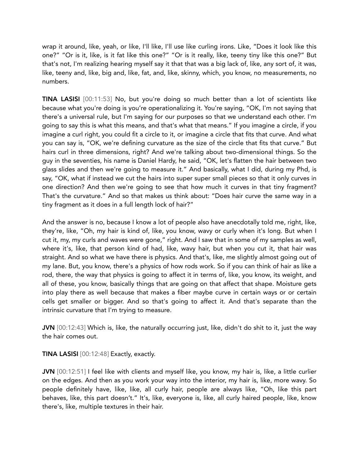wrap it around, like, yeah, or like, I'll like, I'll use like curling irons. Like, "Does it look like this one?" "Or is it, like, is it fat like this one?" "Or is it really, like, teeny tiny like this one?" But that's not, I'm realizing hearing myself say it that that was a big lack of, like, any sort of, it was, like, teeny and, like, big and, like, fat, and, like, skinny, which, you know, no measurements, no numbers.

TINA LASISI [00:11:53] No, but you're doing so much better than a lot of scientists like because what you're doing is you're operationalizing it. You're saying, "OK, I'm not saying that there's a universal rule, but I'm saying for our purposes so that we understand each other. I'm going to say this is what this means, and that's what that means." If you imagine a circle, if you imagine a curl right, you could fit a circle to it, or imagine a circle that fits that curve. And what you can say is, "OK, we're defining curvature as the size of the circle that fits that curve." But hairs curl in three dimensions, right? And we're talking about two-dimensional things. So the guy in the seventies, his name is Daniel Hardy, he said, "OK, let's flatten the hair between two glass slides and then we're going to measure it." And basically, what I did, during my Phd, is say, "OK, what if instead we cut the hairs into super super small pieces so that it only curves in one direction? And then we're going to see that how much it curves in that tiny fragment? That's the curvature." And so that makes us think about: "Does hair curve the same way in a tiny fragment as it does in a full length lock of hair?"

And the answer is no, because I know a lot of people also have anecdotally told me, right, like, they're, like, "Oh, my hair is kind of, like, you know, wavy or curly when it's long. But when I cut it, my, my curls and waves were gone," right. And I saw that in some of my samples as well, where it's, like, that person kind of had, like, wavy hair, but when you cut it, that hair was straight. And so what we have there is physics. And that's, like, me slightly almost going out of my lane. But, you know, there's a physics of how rods work. So if you can think of hair as like a rod, there, the way that physics is going to affect it in terms of, like, you know, its weight, and all of these, you know, basically things that are going on that affect that shape. Moisture gets into play there as well because that makes a fiber maybe curve in certain ways or or certain cells get smaller or bigger. And so that's going to affect it. And that's separate than the intrinsic curvature that I'm trying to measure.

JVN [00:12:43] Which is, like, the naturally occurring just, like, didn't do shit to it, just the way the hair comes out.

TINA LASISI [00:12:48] Exactly, exactly.

JVN [00:12:51] I feel like with clients and myself like, you know, my hair is, like, a little curlier on the edges. And then as you work your way into the interior, my hair is, like, more wavy. So people definitely have, like, like, all curly hair, people are always like, "Oh, like this part behaves, like, this part doesn't." It's, like, everyone is, like, all curly haired people, like, know there's, like, multiple textures in their hair.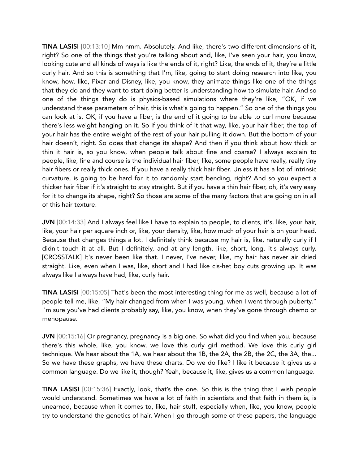TINA LASISI [00:13:10] Mm hmm. Absolutely. And like, there's two different dimensions of it, right? So one of the things that you're talking about and, like, I've seen your hair, you know, looking cute and all kinds of ways is like the ends of it, right? Like, the ends of it, they're a little curly hair. And so this is something that I'm, like, going to start doing research into like, you know, how, like, Pixar and Disney, like, you know, they animate things like one of the things that they do and they want to start doing better is understanding how to simulate hair. And so one of the things they do is physics-based simulations where they're like, "OK, if we understand these parameters of hair, this is what's going to happen." So one of the things you can look at is, OK, if you have a fiber, is the end of it going to be able to curl more because there's less weight hanging on it. So if you think of it that way, like, your hair fiber, the top of your hair has the entire weight of the rest of your hair pulling it down. But the bottom of your hair doesn't, right. So does that change its shape? And then if you think about how thick or thin it hair is, so you know, when people talk about fine and coarse? I always explain to people, like, fine and course is the individual hair fiber, like, some people have really, really tiny hair fibers or really thick ones. If you have a really thick hair fiber. Unless it has a lot of intrinsic curvature, is going to be hard for it to randomly start bending, right? And so you expect a thicker hair fiber if it's straight to stay straight. But if you have a thin hair fiber, oh, it's very easy for it to change its shape, right? So those are some of the many factors that are going on in all of this hair texture.

JVN [00:14:33] And I always feel like I have to explain to people, to clients, it's, like, your hair, like, your hair per square inch or, like, your density, like, how much of your hair is on your head. Because that changes things a lot. I definitely think because my hair is, like, naturally curly if I didn't touch it at all. But I definitely, and at any length, like, short, long, it's always curly. [CROSSTALK] It's never been like that. I never, I've never, like, my hair has never air dried straight. Like, even when I was, like, short and I had like cis-het boy cuts growing up. It was always like I always have had, like, curly hair.

TINA LASISI [00:15:05] That's been the most interesting thing for me as well, because a lot of people tell me, like, "My hair changed from when I was young, when I went through puberty." I'm sure you've had clients probably say, like, you know, when they've gone through chemo or menopause.

JVN [00:15:16] Or pregnancy, pregnancy is a big one. So what did you find when you, because there's this whole, like, you know, we love this curly girl method. We love this curly girl technique. We hear about the 1A, we hear about the 1B, the 2A, the 2B, the 2C, the 3A, the... So we have these graphs, we have these charts. Do we do like? I like it because it gives us a common language. Do we like it, though? Yeah, because it, like, gives us a common language.

TINA LASISI [00:15:36] Exactly, look, that's the one. So this is the thing that I wish people would understand. Sometimes we have a lot of faith in scientists and that faith in them is, is unearned, because when it comes to, like, hair stuff, especially when, like, you know, people try to understand the genetics of hair. When I go through some of these papers, the language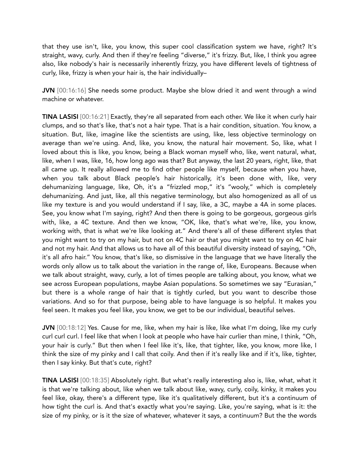that they use isn't, like, you know, this super cool classification system we have, right? It's straight, wavy, curly. And then if they're feeling "diverse," it's frizzy. But, like, I think you agree also, like nobody's hair is necessarily inherently frizzy, you have different levels of tightness of curly, like, frizzy is when your hair is, the hair individually–

JVN [00:16:16] She needs some product. Maybe she blow dried it and went through a wind machine or whatever.

TINA LASISI [00:16:21] Exactly, they're all separated from each other. We like it when curly hair clumps, and so that's like, that's not a hair type. That is a hair condition, situation. You know, a situation. But, like, imagine like the scientists are using, like, less objective terminology on average than we're using. And, like, you know, the natural hair movement. So, like, what I loved about this is like, you know, being a Black woman myself who, like, went natural, what, like, when I was, like, 16, how long ago was that? But anyway, the last 20 years, right, like, that all came up. It really allowed me to find other people like myself, because when you have, when you talk about Black people's hair historically, it's been done with, like, very dehumanizing language, like, Oh, it's a "frizzled mop," it's "wooly," which is completely dehumanizing. And just, like, all this negative terminology, but also homogenized as all of us like my texture is and you would understand if I say, like, a 3C, maybe a 4A in some places. See, you know what I'm saying, right? And then there is going to be gorgeous, gorgeous girls with, like, a 4C texture. And then we know, "OK, like, that's what we're, like, you know, working with, that is what we're like looking at." And there's all of these different styles that you might want to try on my hair, but not on 4C hair or that you might want to try on 4C hair and not my hair. And that allows us to have all of this beautiful diversity instead of saying, "Oh, it's all afro hair." You know, that's like, so dismissive in the language that we have literally the words only allow us to talk about the variation in the range of, like, Europeans. Because when we talk about straight, wavy, curly, a lot of times people are talking about, you know, what we see across European populations, maybe Asian populations. So sometimes we say "Eurasian," but there is a whole range of hair that is tightly curled, but you want to describe those variations. And so for that purpose, being able to have language is so helpful. It makes you feel seen. It makes you feel like, you know, we get to be our individual, beautiful selves.

JVN [00:18:12] Yes. Cause for me, like, when my hair is like, like what I'm doing, like my curly curl curl curl. I feel like that when I look at people who have hair curlier than mine, I think, "Oh, your hair is curly." But then when I feel like it's, like, that tighter, like, you know, more like, I think the size of my pinky and I call that coily. And then if it's really like and if it's, like, tighter, then I say kinky. But that's cute, right?

TINA LASISI [00:18:35] Absolutely right. But what's really interesting also is, like, what, what it is that we're talking about, like when we talk about like, wavy, curly, coily, kinky, it makes you feel like, okay, there's a different type, like it's qualitatively different, but it's a continuum of how tight the curl is. And that's exactly what you're saying. Like, you're saying, what is it: the size of my pinky, or is it the size of whatever, whatever it says, a continuum? But the the words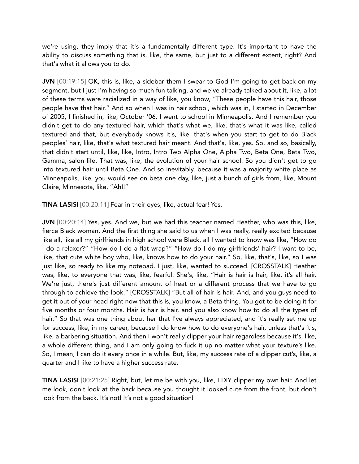we're using, they imply that it's a fundamentally different type. It's important to have the ability to discuss something that is, like, the same, but just to a different extent, right? And that's what it allows you to do.

JVN [00:19:15] OK, this is, like, a sidebar them I swear to God I'm going to get back on my segment, but I just I'm having so much fun talking, and we've already talked about it, like, a lot of these terms were racialized in a way of like, you know, "These people have this hair, those people have that hair." And so when I was in hair school, which was in, I started in December of 2005, I finished in, like, October '06. I went to school in Minneapolis. And I remember you didn't get to do any textured hair, which that's what we, like, that's what it was like, called textured and that, but everybody knows it's, like, that's when you start to get to do Black peoples' hair, like, that's what textured hair meant. And that's, like, yes. So, and so, basically, that didn't start until, like, like, Intro, Intro Two Alpha One, Alpha Two, Beta One, Beta Two, Gamma, salon life. That was, like, the evolution of your hair school. So you didn't get to go into textured hair until Beta One. And so inevitably, because it was a majority white place as Minneapolis, like, you would see on beta one day, like, just a bunch of girls from, like, Mount Claire, Minnesota, like, "Ah!!"

TINA LASISI [00:20:11] Fear in their eyes, like, actual fear! Yes.

JVN [00:20:14] Yes, yes. And we, but we had this teacher named Heather, who was this, like, fierce Black woman. And the first thing she said to us when I was really, really excited because like all, like all my girlfriends in high school were Black, all I wanted to know was like, "How do I do a relaxer?" "How do I do a flat wrap?" "How do I do my girlfriends' hair? I want to be, like, that cute white boy who, like, knows how to do your hair." So, like, that's, like, so I was just like, so ready to like my notepad. I just, like, wanted to succeed. [CROSSTALK] Heather was, like, to everyone that was, like, fearful. She's, like, "Hair is hair is hair, like, it's all hair. We're just, there's just different amount of heat or a different process that we have to go through to achieve the look." [CROSSTALK] "But all of hair is hair. And, and you guys need to get it out of your head right now that this is, you know, a Beta thing. You got to be doing it for five months or four months. Hair is hair is hair, and you also know how to do all the types of hair." So that was one thing about her that I've always appreciated, and it's really set me up for success, like, in my career, because I do know how to do everyone's hair, unless that's it's, like, a barbering situation. And then I won't really clipper your hair regardless because it's, like, a whole different thing, and I am only going to fuck it up no matter what your texture's like. So, I mean, I can do it every once in a while. But, like, my success rate of a clipper cut's, like, a quarter and I like to have a higher success rate.

TINA LASISI [00:21:25] Right, but, let me be with you, like, I DIY clipper my own hair. And let me look, don't look at the back because you thought it looked cute from the front, but don't look from the back. It's not! It's not a good situation!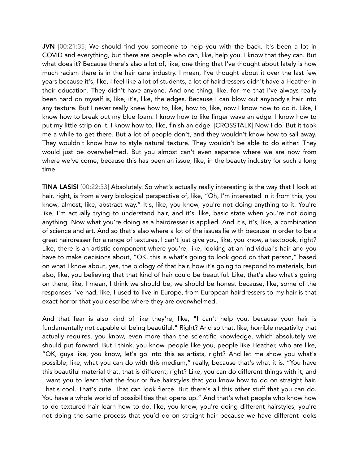JVN [00:21:35] We should find you someone to help you with the back. It's been a lot in COVID and everything, but there are people who can, like, help you. I know that they can. But what does it? Because there's also a lot of, like, one thing that I've thought about lately is how much racism there is in the hair care industry. I mean, I've thought about it over the last few years because it's, like, I feel like a lot of students, a lot of hairdressers didn't have a Heather in their education. They didn't have anyone. And one thing, like, for me that I've always really been hard on myself is, like, it's, like, the edges. Because I can blow out anybody's hair into any texture. But I never really knew how to, like, how to, like, now I know how to do it. Like, I know how to break out my blue foam. I know how to like finger wave an edge. I know how to put my little strip on it. I know how to, like, finish an edge. [CROSSTALK] Now I do. But it took me a while to get there. But a lot of people don't, and they wouldn't know how to sail away. They wouldn't know how to style natural texture. They wouldn't be able to do either. They would just be overwhelmed. But you almost can't even separate where we are now from where we've come, because this has been an issue, like, in the beauty industry for such a long time.

TINA LASISI [00:22:33] Absolutely. So what's actually really interesting is the way that I look at hair, right, is from a very biological perspective of, like, "Oh, I'm interested in it from this, you know, almost, like, abstract way." It's, like, you know, you're not doing anything to it. You're like, I'm actually trying to understand hair, and it's, like, basic state when you're not doing anything. Now what you're doing as a hairdresser is applied. And it's, it's, like, a combination of science and art. And so that's also where a lot of the issues lie with because in order to be a great hairdresser for a range of textures, I can't just give you, like, you know, a textbook, right? Like, there is an artistic component where you're, like, looking at an individual's hair and you have to make decisions about, "OK, this is what's going to look good on that person," based on what I know about, yes, the biology of that hair, how it's going to respond to materials, but also, like, you believing that that kind of hair could be beautiful. Like, that's also what's going on there, like, I mean, I think we should be, we should be honest because, like, some of the responses I've had, like, I used to live in Europe, from European hairdressers to my hair is that exact horror that you describe where they are overwhelmed.

And that fear is also kind of like they're, like, "I can't help you, because your hair is fundamentally not capable of being beautiful." Right? And so that, like, horrible negativity that actually requires, you know, even more than the scientific knowledge, which absolutely we should put forward. But I think, you know, people like you, people like Heather, who are like, "OK, guys like, you know, let's go into this as artists, right? And let me show you what's possible, like, what you can do with this medium," really, because that's what it is. "You have this beautiful material that, that is different, right? Like, you can do different things with it, and I want you to learn that the four or five hairstyles that you know how to do on straight hair. That's cool. That's cute. That can look fierce. But there's all this other stuff that you can do. You have a whole world of possibilities that opens up." And that's what people who know how to do textured hair learn how to do, like, you know, you're doing different hairstyles, you're not doing the same process that you'd do on straight hair because we have different looks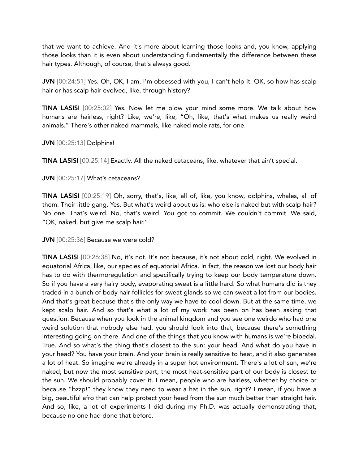that we want to achieve. And it's more about learning those looks and, you know, applying those looks than it is even about understanding fundamentally the difference between these hair types. Although, of course, that's always good.

JVN [00:24:51] Yes. Oh, OK, I am, I'm obsessed with you, I can't help it. OK, so how has scalp hair or has scalp hair evolved, like, through history?

TINA LASISI [00:25:02] Yes. Now let me blow your mind some more. We talk about how humans are hairless, right? Like, we're, like, "Oh, like, that's what makes us really weird animals." There's other naked mammals, like naked mole rats, for one.

JVN [00:25:13] Dolphins!

TINA LASISI [00:25:14] Exactly. All the naked cetaceans, like, whatever that ain't special.

## JVN [00:25:17] What's cetaceans?

TINA LASISI [00:25:19] Oh, sorry, that's, like, all of, like, you know, dolphins, whales, all of them. Their little gang. Yes. But what's weird about us is: who else is naked but with scalp hair? No one. That's weird. No, that's weird. You got to commit. We couldn't commit. We said, "OK, naked, but give me scalp hair."

JVN [00:25:36] Because we were cold?

TINA LASISI [00:26:38] No, it's not. It's not because, it's not about cold, right. We evolved in equatorial Africa, like, our species of equatorial Africa. In fact, the reason we lost our body hair has to do with thermoregulation and specifically trying to keep our body temperature down. So if you have a very hairy body, evaporating sweat is a little hard. So what humans did is they traded in a bunch of body hair follicles for sweat glands so we can sweat a lot from our bodies. And that's great because that's the only way we have to cool down. But at the same time, we kept scalp hair. And so that's what a lot of my work has been on has been asking that question. Because when you look in the animal kingdom and you see one weirdo who had one weird solution that nobody else had, you should look into that, because there's something interesting going on there. And one of the things that you know with humans is we're bipedal. True. And so what's the thing that's closest to the sun: your head. And what do you have in your head? You have your brain. And your brain is really sensitive to heat, and it also generates a lot of heat. So imagine we're already in a super hot environment. There's a lot of sun, we're naked, but now the most sensitive part, the most heat-sensitive part of our body is closest to the sun. We should probably cover it. I mean, people who are hairless, whether by choice or because "bzzp!" they know they need to wear a hat in the sun, right? I mean, if you have a big, beautiful afro that can help protect your head from the sun much better than straight hair. And so, like, a lot of experiments I did during my Ph.D. was actually demonstrating that, because no one had done that before.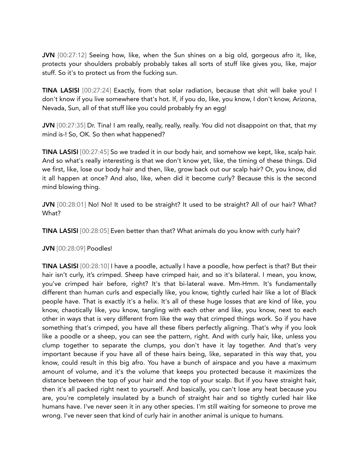JVN [00:27:12] Seeing how, like, when the Sun shines on a big old, gorgeous afro it, like, protects your shoulders probably probably takes all sorts of stuff like gives you, like, major stuff. So it's to protect us from the fucking sun.

TINA LASISI [00:27:24] Exactly, from that solar radiation, because that shit will bake you! I don't know if you live somewhere that's hot. If, if you do, like, you know, I don't know, Arizona, Nevada, Sun, all of that stuff like you could probably fry an egg!

JVN [00:27:35] Dr. Tina! I am really, really, really, really. You did not disappoint on that, that my mind is-! So, OK. So then what happened?

TINA LASISI [00:27:45] So we traded it in our body hair, and somehow we kept, like, scalp hair. And so what's really interesting is that we don't know yet, like, the timing of these things. Did we first, like, lose our body hair and then, like, grow back out our scalp hair? Or, you know, did it all happen at once? And also, like, when did it become curly? Because this is the second mind blowing thing.

JVN [00:28:01] No! No! It used to be straight? It used to be straight? All of our hair? What? What?

TINA LASISI [00:28:05] Even better than that? What animals do you know with curly hair?

JVN [00:28:09] Poodles!

TINA LASISI [00:28:10] I have a poodle, actually I have a poodle, how perfect is that? But their hair isn't curly, it's crimped. Sheep have crimped hair, and so it's bilateral. I mean, you know, you've crimped hair before, right? It's that bi-lateral wave. Mm-Hmm. It's fundamentally different than human curls and especially like, you know, tightly curled hair like a lot of Black people have. That is exactly it's a helix. It's all of these huge losses that are kind of like, you know, chaotically like, you know, tangling with each other and like, you know, next to each other in ways that is very different from like the way that crimped things work. So if you have something that's crimped, you have all these fibers perfectly aligning. That's why if you look like a poodle or a sheep, you can see the pattern, right. And with curly hair, like, unless you clump together to separate the clumps, you don't have it lay together. And that's very important because if you have all of these hairs being, like, separated in this way that, you know, could result in this big afro. You have a bunch of airspace and you have a maximum amount of volume, and it's the volume that keeps you protected because it maximizes the distance between the top of your hair and the top of your scalp. But if you have straight hair, then it's all packed right next to yourself. And basically, you can't lose any heat because you are, you're completely insulated by a bunch of straight hair and so tightly curled hair like humans have. I've never seen it in any other species. I'm still waiting for someone to prove me wrong. I've never seen that kind of curly hair in another animal is unique to humans.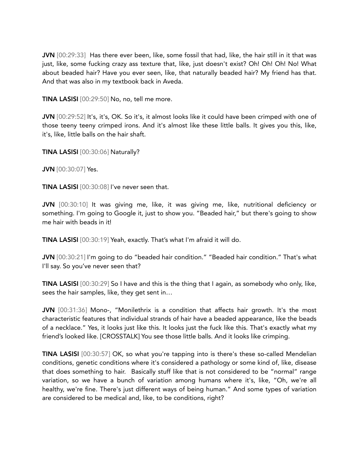JVN [00:29:33] Has there ever been, like, some fossil that had, like, the hair still in it that was just, like, some fucking crazy ass texture that, like, just doesn't exist? Oh! Oh! Oh! No! What about beaded hair? Have you ever seen, like, that naturally beaded hair? My friend has that. And that was also in my textbook back in Aveda.

TINA LASISI [00:29:50] No, no, tell me more.

JVN [00:29:52] It's, it's, OK. So it's, it almost looks like it could have been crimped with one of those teeny teeny crimped irons. And it's almost like these little balls. It gives you this, like, it's, like, little balls on the hair shaft.

TINA LASISI [00:30:06] Naturally?

JVN [00:30:07] Yes.

TINA LASISI [00:30:08] I've never seen that.

JVN [00:30:10] It was giving me, like, it was giving me, like, nutritional deficiency or something. I'm going to Google it, just to show you. "Beaded hair," but there's going to show me hair with beads in it!

TINA LASISI [00:30:19] Yeah, exactly. That's what I'm afraid it will do.

JVN [00:30:21] I'm going to do "beaded hair condition." "Beaded hair condition." That's what I'll say. So you've never seen that?

TINA LASISI [00:30:29] So I have and this is the thing that I again, as somebody who only, like, sees the hair samples, like, they get sent in…

JVN [00:31:36] Mono-, "Monilethrix is a condition that affects hair growth. It's the most characteristic features that individual strands of hair have a beaded appearance, like the beads of a necklace." Yes, it looks just like this. It looks just the fuck like this. That's exactly what my friend's looked like. [CROSSTALK] You see those little balls. And it looks like crimping.

TINA LASISI [00:30:57] OK, so what you're tapping into is there's these so-called Mendelian conditions, genetic conditions where it's considered a pathology or some kind of, like, disease that does something to hair. Basically stuff like that is not considered to be "normal" range variation, so we have a bunch of variation among humans where it's, like, "Oh, we're all healthy, we're fine. There's just different ways of being human." And some types of variation are considered to be medical and, like, to be conditions, right?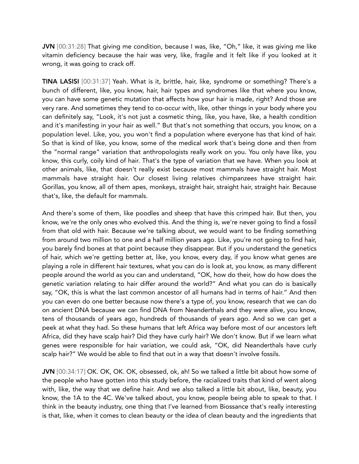JVN [00:31:28] That giving me condition, because I was, like, "Oh," like, it was giving me like vitamin deficiency because the hair was very, like, fragile and it felt like if you looked at it wrong, it was going to crack off.

TINA LASISI [00:31:37] Yeah. What is it, brittle, hair, like, syndrome or something? There's a bunch of different, like, you know, hair, hair types and syndromes like that where you know, you can have some genetic mutation that affects how your hair is made, right? And those are very rare. And sometimes they tend to co-occur with, like, other things in your body where you can definitely say, "Look, it's not just a cosmetic thing, like, you have, like, a health condition and it's manifesting in your hair as well." But that's not something that occurs, you know, on a population level. Like, you, you won't find a population where everyone has that kind of hair. So that is kind of like, you know, some of the medical work that's being done and then from the "normal range" variation that anthropologists really work on you. You only have like, you know, this curly, coily kind of hair. That's the type of variation that we have. When you look at other animals, like, that doesn't really exist because most mammals have straight hair. Most mammals have straight hair. Our closest living relatives chimpanzees have straight hair. Gorillas, you know, all of them apes, monkeys, straight hair, straight hair, straight hair. Because that's, like, the default for mammals.

And there's some of them, like poodles and sheep that have this crimped hair. But then, you know, we're the only ones who evolved this. And the thing is, we're never going to find a fossil from that old with hair. Because we're talking about, we would want to be finding something from around two million to one and a half million years ago. Like, you're not going to find hair, you barely find bones at that point because they disappear. But if you understand the genetics of hair, which we're getting better at, like, you know, every day, if you know what genes are playing a role in different hair textures, what you can do is look at, you know, as many different people around the world as you can and understand, "OK, how do their, how do how does the genetic variation relating to hair differ around the world?" And what you can do is basically say, "OK, this is what the last common ancestor of all humans had in terms of hair." And then you can even do one better because now there's a type of, you know, research that we can do on ancient DNA because we can find DNA from Neanderthals and they were alive, you know, tens of thousands of years ago, hundreds of thousands of years ago. And so we can get a peek at what they had. So these humans that left Africa way before most of our ancestors left Africa, did they have scalp hair? Did they have curly hair? We don't know. But if we learn what genes were responsible for hair variation, we could ask, "OK, did Neanderthals have curly scalp hair?" We would be able to find that out in a way that doesn't involve fossils.

JVN [00:34:17] OK. OK, OK. OK, obsessed, ok, ah! So we talked a little bit about how some of the people who have gotten into this study before, the racialized traits that kind of went along with, like, the way that we define hair. And we also talked a little bit about, like, beauty, you know, the 1A to the 4C. We've talked about, you know, people being able to speak to that. I think in the beauty industry, one thing that I've learned from Biossance that's really interesting is that, like, when it comes to clean beauty or the idea of clean beauty and the ingredients that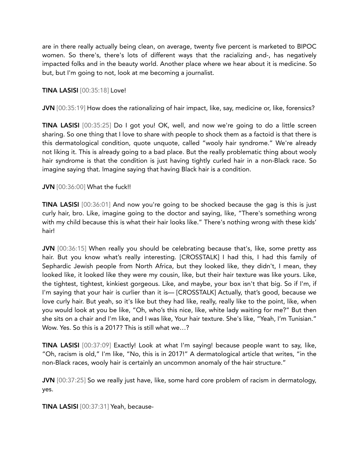are in there really actually being clean, on average, twenty five percent is marketed to BIPOC women. So there's, there's lots of different ways that the racializing and-, has negatively impacted folks and in the beauty world. Another place where we hear about it is medicine. So but, but I'm going to not, look at me becoming a journalist.

## TINA LASISI [00:35:18] Love!

JVN [00:35:19] How does the rationalizing of hair impact, like, say, medicine or, like, forensics?

TINA LASISI [00:35:25] Do I got you! OK, well, and now we're going to do a little screen sharing. So one thing that I love to share with people to shock them as a factoid is that there is this dermatological condition, quote unquote, called "wooly hair syndrome." We're already not liking it. This is already going to a bad place. But the really problematic thing about wooly hair syndrome is that the condition is just having tightly curled hair in a non-Black race. So imagine saying that. Imagine saying that having Black hair is a condition.

#### **JVN** [00:36:00] What the fuck!!

TINA LASISI [00:36:01] And now you're going to be shocked because the gag is this is just curly hair, bro. Like, imagine going to the doctor and saying, like, "There's something wrong with my child because this is what their hair looks like." There's nothing wrong with these kids' hair!

JVN [00:36:15] When really you should be celebrating because that's, like, some pretty ass hair. But you know what's really interesting. [CROSSTALK] I had this, I had this family of Sephardic Jewish people from North Africa, but they looked like, they didn't, I mean, they looked like, it looked like they were my cousin, like, but their hair texture was like yours. Like, the tightest, tightest, kinkiest gorgeous. Like, and maybe, your box isn't that big. So if I'm, if I'm saying that your hair is curlier than it is— [CROSSTALK] Actually, that's good, because we love curly hair. But yeah, so it's like but they had like, really, really like to the point, like, when you would look at you be like, "Oh, who's this nice, like, white lady waiting for me?" But then she sits on a chair and I'm like, and I was like, Your hair texture. She's like, "Yeah, I'm Tunisian." Wow. Yes. So this is a 2017? This is still what we…?

TINA LASISI [00:37:09] Exactly! Look at what I'm saying! because people want to say, like, "Oh, racism is old," I'm like, "No, this is in 2017!" A dermatological article that writes, "in the non-Black races, wooly hair is certainly an uncommon anomaly of the hair structure."

JVN [00:37:25] So we really just have, like, some hard core problem of racism in dermatology, yes.

TINA LASISI [00:37:31] Yeah, because-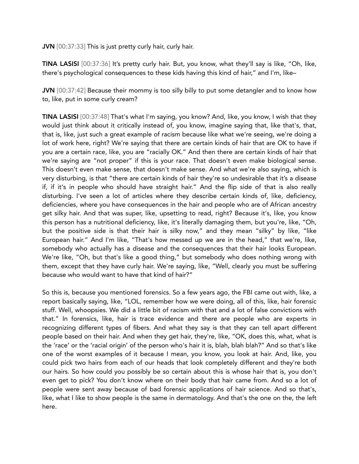JVN [00:37:33] This is just pretty curly hair, curly hair.

TINA LASISI [00:37:36] It's pretty curly hair. But, you know, what they'll say is like, "Oh, like, there's psychological consequences to these kids having this kind of hair," and I'm, like–

JVN [00:37:42] Because their mommy is too silly billy to put some detangler and to know how to, like, put in some curly cream?

TINA LASISI [00:37:48] That's what I'm saying, you know? And, like, you know, I wish that they would just think about it critically instead of, you know, imagine saying that, like that's, that, that is, like, just such a great example of racism because like what we're seeing, we're doing a lot of work here, right? We're saying that there are certain kinds of hair that are OK to have if you are a certain race, like, you are "racially OK." And then there are certain kinds of hair that we're saying are "not proper" if this is your race. That doesn't even make biological sense. This doesn't even make sense, that doesn't make sense. And what we're also saying, which is very disturbing, is that "there are certain kinds of hair they're so undesirable that it's a disease if, if it's in people who should have straight hair." And the flip side of that is also really disturbing. I've seen a lot of articles where they describe certain kinds of, like, deficiency, deficiencies, where you have consequences in the hair and people who are of African ancestry get silky hair. And that was super, like, upsetting to read, right? Because it's, like, you know this person has a nutritional deficiency, like, it's literally damaging them, but you're, like, "Oh, but the positive side is that their hair is silky now," and they mean "silky" by like, "like European hair." And I'm like, "That's how messed up we are in the head," that we're, like, somebody who actually has a disease and the consequences that their hair looks European. We're like, "Oh, but that's like a good thing," but somebody who does nothing wrong with them, except that they have curly hair. We're saying, like, "Well, clearly you must be suffering because who would want to have that kind of hair?"

So this is, because you mentioned forensics. So a few years ago, the FBI came out with, like, a report basically saying, like, "LOL, remember how we were doing, all of this, like, hair forensic stuff. Well, whoopsies. We did a little bit of racism with that and a lot of false convictions with that." In forensics, like, hair is trace evidence and there are people who are experts in recognizing different types of fibers. And what they say is that they can tell apart different people based on their hair. And when they get hair, they're, like, "OK, does this, what, what is the 'race' or the 'racial origin' of the person who's hair it is, blah, blah blah?" And so that's like one of the worst examples of it because I mean, you know, you look at hair. And, like, you could pick two hairs from each of our heads that look completely different and they're both our hairs. So how could you possibly be so certain about this is whose hair that is, you don't even get to pick? You don't know where on their body that hair came from. And so a lot of people were sent away because of bad forensic applications of hair science. And so that's, like, what I like to show people is the same in dermatology. And that's the one on the, the left here.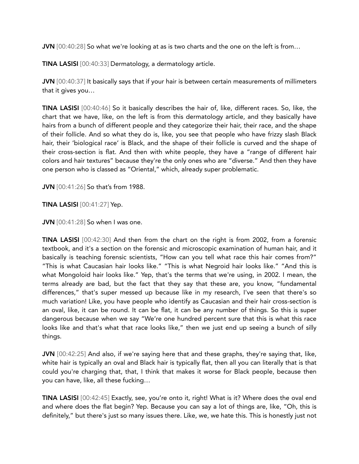JVN [00:40:28] So what we're looking at as is two charts and the one on the left is from...

TINA LASISI [00:40:33] Dermatology, a dermatology article.

JVN [00:40:37] It basically says that if your hair is between certain measurements of millimeters that it gives you…

TINA LASISI [00:40:46] So it basically describes the hair of, like, different races. So, like, the chart that we have, like, on the left is from this dermatology article, and they basically have hairs from a bunch of different people and they categorize their hair, their race, and the shape of their follicle. And so what they do is, like, you see that people who have frizzy slash Black hair, their 'biological race' is Black, and the shape of their follicle is curved and the shape of their cross-section is flat. And then with white people, they have a "range of different hair colors and hair textures" because they're the only ones who are "diverse." And then they have one person who is classed as "Oriental," which, already super problematic.

JVN [00:41:26] So that's from 1988.

TINA LASISI [00:41:27] Yep.

JVN [00:41:28] So when I was one.

TINA LASISI [00:42:30] And then from the chart on the right is from 2002, from a forensic textbook, and it's a section on the forensic and microscopic examination of human hair, and it basically is teaching forensic scientists, "How can you tell what race this hair comes from?" "This is what Caucasian hair looks like." "This is what Negroid hair looks like." "And this is what Mongoloid hair looks like." Yep, that's the terms that we're using, in 2002. I mean, the terms already are bad, but the fact that they say that these are, you know, "fundamental differences," that's super messed up because like in my research, I've seen that there's so much variation! Like, you have people who identify as Caucasian and their hair cross-section is an oval, like, it can be round. It can be flat, it can be any number of things. So this is super dangerous because when we say "We're one hundred percent sure that this is what this race looks like and that's what that race looks like," then we just end up seeing a bunch of silly things.

JVN [00:42:25] And also, if we're saying here that and these graphs, they're saying that, like, white hair is typically an oval and Black hair is typically flat, then all you can literally that is that could you're charging that, that, I think that makes it worse for Black people, because then you can have, like, all these fucking…

TINA LASISI [00:42:45] Exactly, see, you're onto it, right! What is it? Where does the oval end and where does the flat begin? Yep. Because you can say a lot of things are, like, "Oh, this is definitely," but there's just so many issues there. Like, we, we hate this. This is honestly just not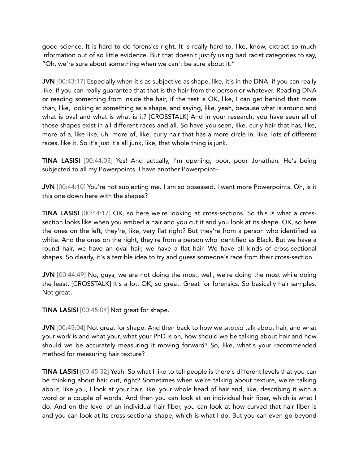good science. It is hard to do forensics right. It is really hard to, like, know, extract so much information out of so little evidence. But that doesn't justify using bad racist categories to say, "Oh, we're sure about something when we can't be sure about it."

JVN [00:43:17] Especially when it's as subjective as shape, like, it's in the DNA, if you can really like, if you can really guarantee that that is the hair from the person or whatever. Reading DNA or reading something from inside the hair, if the test is OK, like, I can get behind that more than, like, looking at something as a shape, and saying, like, yeah, because what is around and what is oval and what is what is it? [CROSSTALK] And in your research, you have seen all of those shapes exist in all different races and all. So have you seen, like, curly hair that has, like, more of a, like like, uh, more of, like, curly hair that has a more circle in, like, lots of different races, like it. So it's just it's all junk, like, that whole thing is junk.

TINA LASISI [00:44:03] Yes! And actually, I'm opening, poor, poor Jonathan. He's being subjected to all my Powerpoints. I have another Powerpoint–

JVN [00:44:10] You're not subjecting me. I am so obsessed. I want more Powerpoints. Oh, is it this one down here with the shapes?

TINA LASISI [00:44:17] OK, so here we're looking at cross-sections. So this is what a crosssection looks like when you embed a hair and you cut it and you look at its shape. OK, so here the ones on the left, they're, like, very flat right? But they're from a person who identified as white. And the ones on the right, they're from a person who identified as Black. But we have a round hair, we have an oval hair, we have a flat hair. We have all kinds of cross-sectional shapes. So clearly, it's a terrible idea to try and guess someone's race from their cross-section.

JVN [00:44:49] No, guys, we are not doing the most, well, we're doing the most while doing the least. [CROSSTALK] It's a lot. OK, so great. Great for forensics. So basically hair samples. Not great.

TINA LASISI [00:45:04] Not great for shape.

JVN [00:45:04] Not great for shape. And then back to how we *should* talk about hair, and what your work is and what your, what your PhD is on, how should we be talking about hair and how should we be accurately measuring it moving forward? So, like, what's your recommended method for measuring hair texture?

TINA LASISI [00:45:32] Yeah. So what I like to tell people is there's different levels that you can be thinking about hair out, right? Sometimes when we're talking about texture, we're talking about, like you, I look at your hair, like, your whole head of hair and, like, describing it with a word or a couple of words. And then you can look at an individual hair fiber, which is what I do. And on the level of an individual hair fiber, you can look at how curved that hair fiber is and you can look at its cross-sectional shape, which is what I do. But you can even go beyond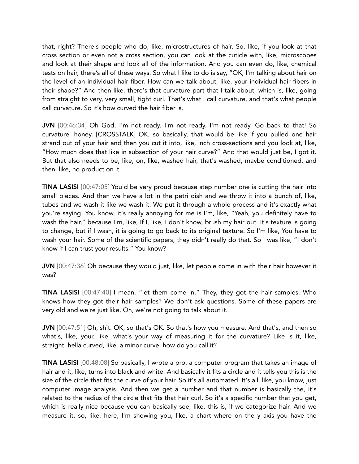that, right? There's people who do, like, microstructures of hair. So, like, if you look at that cross section or even not a cross section, you can look at the cuticle with, like, microscopes and look at their shape and look all of the information. And you can even do, like, chemical tests on hair, there's all of these ways. So what I like to do is say, "OK, I'm talking about hair on the level of an individual hair fiber. How can we talk about, like, your individual hair fibers in their shape?" And then like, there's that curvature part that I talk about, which is, like, going from straight to very, very small, tight curl. That's what I call curvature, and that's what people call curvature. So it's how curved the hair fiber is.

JVN [00:46:34] Oh God, I'm not ready. I'm not ready. I'm not ready. Go back to that! So curvature, honey. [CROSSTALK] OK, so basically, that would be like if you pulled one hair strand out of your hair and then you cut it into, like, inch cross-sections and you look at, like, "How much does that like in subsection of your hair curve?" And that would just be, I got it. But that also needs to be, like, on, like, washed hair, that's washed, maybe conditioned, and then, like, no product on it.

TINA LASISI [00:47:05] You'd be very proud because step number one is cutting the hair into small pieces. And then we have a lot in the petri dish and we throw it into a bunch of, like, tubes and we wash it like we wash it. We put it through a whole process and it's exactly what you're saying. You know, it's really annoying for me is I'm, like, "Yeah, you definitely have to wash the hair," because I'm, like, If I, like, I don't know, brush my hair out. It's texture is going to change, but if I wash, it is going to go back to its original texture. So I'm like, You have to wash your hair. Some of the scientific papers, they didn't really do that. So I was like, "I don't know if I can trust your results." You know?

JVN [00:47:36] Oh because they would just, like, let people come in with their hair however it was?

TINA LASISI [00:47:40] I mean, "let them come in." They, they got the hair samples. Who knows how they got their hair samples? We don't ask questions. Some of these papers are very old and we're just like, Oh, we're not going to talk about it.

JVN [00:47:51] Oh, shit. OK, so that's OK. So that's how you measure. And that's, and then so what's, like, your, like, what's your way of measuring it for the curvature? Like is it, like, straight, hella curved, like, a minor curve, how do you call it?

TINA LASISI [00:48:08] So basically, I wrote a pro, a computer program that takes an image of hair and it, like, turns into black and white. And basically it fits a circle and it tells you this is the size of the circle that fits the curve of your hair. So it's all automated. It's all, like, you know, just computer image analysis. And then we get a number and that number is basically the, it's related to the radius of the circle that fits that hair curl. So it's a specific number that you get, which is really nice because you can basically see, like, this is, if we categorize hair. And we measure it, so, like, here, I'm showing you, like, a chart where on the y axis you have the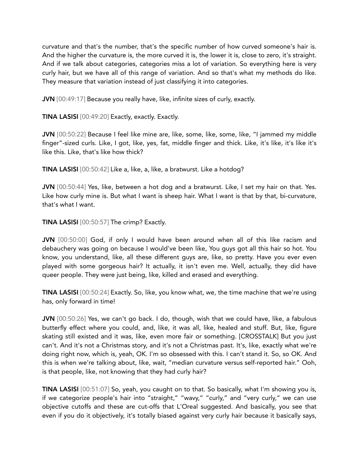curvature and that's the number, that's the specific number of how curved someone's hair is. And the higher the curvature is, the more curved it is, the lower it is, close to zero, it's straight. And if we talk about categories, categories miss a lot of variation. So everything here is very curly hair, but we have all of this range of variation. And so that's what my methods do like. They measure that variation instead of just classifying it into categories.

JVN [00:49:17] Because you really have, like, infinite sizes of curly, exactly.

TINA LASISI [00:49:20] Exactly, exactly. Exactly.

JVN [00:50:22] Because I feel like mine are, like, some, like, some, like, "I jammed my middle finger"-sized curls. Like, I got, like, yes, fat, middle finger and thick. Like, it's like, it's like it's like this. Like, that's like how thick?

TINA LASISI [00:50:42] Like a, like, a, like, a bratwurst. Like a hotdog?

JVN [00:50:44] Yes, like, between a hot dog and a bratwurst. Like, I set my hair on that. Yes. Like how curly mine is. But what I want is sheep hair. What I want is that by that, bi-curvature, that's what I want.

TINA LASISI [00:50:57] The crimp? Exactly.

JVN [00:50:00] God, if only I would have been around when all of this like racism and debauchery was going on because I would've been like, You guys got all this hair so hot. You know, you understand, like, all these different guys are, like, so pretty. Have you ever even played with some gorgeous hair? It actually, it isn't even me. Well, actually, they did have queer people. They were just being, like, killed and erased and everything.

TINA LASISI [00:50:24] Exactly. So, like, you know what, we, the time machine that we're using has, only forward in time!

JVN [00:50:26] Yes, we can't go back. I do, though, wish that we could have, like, a fabulous butterfly effect where you could, and, like, it was all, like, healed and stuff. But, like, figure skating still existed and it was, like, even more fair or something. [CROSSTALK] But you just can't. And it's not a Christmas story, and it's not a Christmas past. It's, like, exactly what we're doing right now, which is, yeah, OK. I'm so obsessed with this. I can't stand it. So, so OK. And this is when we're talking about, like, wait, "median curvature versus self-reported hair." Ooh, is that people, like, not knowing that they had curly hair?

TINA LASISI [00:51:07] So, yeah, you caught on to that. So basically, what I'm showing you is, if we categorize people's hair into "straight," "wavy," "curly," and "very curly," we can use objective cutoffs and these are cut-offs that L'Oreal suggested. And basically, you see that even if you do it objectively, it's totally biased against very curly hair because it basically says,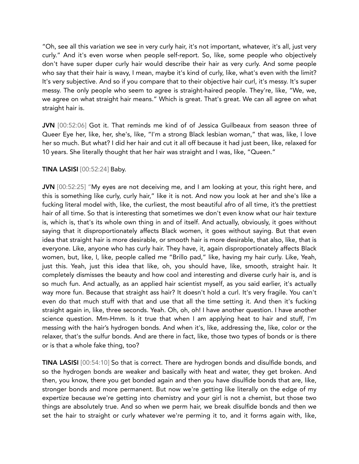"Oh, see all this variation we see in very curly hair, it's not important, whatever, it's all, just very curly." And it's even worse when people self-report. So, like, some people who objectively don't have super duper curly hair would describe their hair as very curly. And some people who say that their hair is wavy, I mean, maybe it's kind of curly, like, what's even with the limit? It's very subjective. And so if you compare that to their objective hair curl, it's messy. It's super messy. The only people who seem to agree is straight-haired people. They're, like, "We, we, we agree on what straight hair means." Which is great. That's great. We can all agree on what straight hair is.

JVN [00:52:06] Got it. That reminds me kind of of Jessica Guilbeaux from season three of Queer Eye her, like, her, she's, like, "I'm a strong Black lesbian woman," that was, like, I love her so much. But what? I did her hair and cut it all off because it had just been, like, relaxed for 10 years. She literally thought that her hair was straight and I was, like, "Queen."

# TINA LASISI [00:52:24] Baby.

JVN [00:52:25] "My eyes are not deceiving me, and I am looking at your, this right here, and this is something like curly, curly hair," like it is not. And now you look at her and she's like a fucking literal model with, like, the curliest, the most beautiful afro of all time, it's the prettiest hair of all time. So that is interesting that sometimes we don't even know what our hair texture is, which is, that's its whole own thing in and of itself. And actually, obviously, it goes without saying that it disproportionately affects Black women, it goes without saying. But that even idea that straight hair is more desirable, or smooth hair is more desirable, that also, like, that is everyone. Like, anyone who has curly hair. They have, it, again disproportionately affects Black women, but, like, I, like, people called me "Brillo pad," like, having my hair curly. Like, Yeah, just this. Yeah, just this idea that like, oh, you should have, like, smooth, straight hair. It completely dismisses the beauty and how cool and interesting and diverse curly hair is, and is so much fun. And actually, as an applied hair scientist myself, as you said earlier, it's actually way more fun. Because that straight ass hair? It doesn't hold a curl. It's very fragile. You can't even do that much stuff with that and use that all the time setting it. And then it's fucking straight again in, like, three seconds. Yeah. Oh, oh, oh! I have another question. I have another science question. Mm-Hmm. Is it true that when I am applying heat to hair and stuff, I'm messing with the hair's hydrogen bonds. And when it's, like, addressing the, like, color or the relaxer, that's the sulfur bonds. And are there in fact, like, those two types of bonds or is there or is that a whole fake thing, too?

TINA LASISI [00:54:10] So that is correct. There are hydrogen bonds and disulfide bonds, and so the hydrogen bonds are weaker and basically with heat and water, they get broken. And then, you know, there you get bonded again and then you have disulfide bonds that are, like, stronger bonds and more permanent. But now we're getting like literally on the edge of my expertize because we're getting into chemistry and your girl is not a chemist, but those two things are absolutely true. And so when we perm hair, we break disulfide bonds and then we set the hair to straight or curly whatever we're perming it to, and it forms again with, like,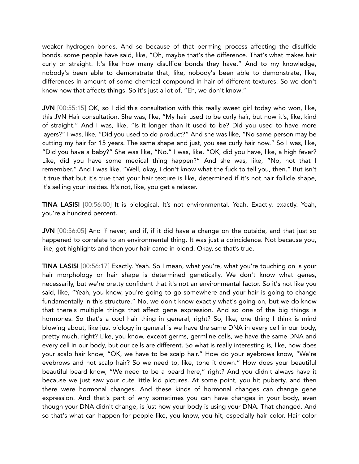weaker hydrogen bonds. And so because of that perming process affecting the disulfide bonds, some people have said, like, "Oh, maybe that's the difference. That's what makes hair curly or straight. It's like how many disulfide bonds they have." And to my knowledge, nobody's been able to demonstrate that, like, nobody's been able to demonstrate, like, differences in amount of some chemical compound in hair of different textures. So we don't know how that affects things. So it's just a lot of, "Eh, we don't know!"

JVN [00:55:15] OK, so I did this consultation with this really sweet girl today who won, like, this JVN Hair consultation. She was, like, "My hair used to be curly hair, but now it's, like, kind of straight." And I was, like, "Is it longer than it used to be? Did you used to have more layers?" I was, like, "Did you used to do product?" And she was like, "No same person may be cutting my hair for 15 years. The same shape and just, you see curly hair now." So I was, like, "Did you have a baby?" She was like, "No." I was, like, "OK, did you have, like, a high fever? Like, did you have some medical thing happen?" And she was, like, "No, not that I remember." And I was like, "Well, okay, I don't know what the fuck to tell you, then." But isn't it true that but it's true that your hair texture is like, determined if it's not hair follicle shape, it's selling your insides. It's not, like, you get a relaxer.

TINA LASISI [00:56:00] It is biological. It's not environmental. Yeah. Exactly, exactly. Yeah, you're a hundred percent.

JVN [00:56:05] And if never, and if, if it did have a change on the outside, and that just so happened to correlate to an environmental thing. It was just a coincidence. Not because you, like, got highlights and then your hair came in blond. Okay, so that's true.

TINA LASISI [00:56:17] Exactly. Yeah. So I mean, what you're, what you're touching on is your hair morphology or hair shape is determined genetically. We don't know what genes, necessarily, but we're pretty confident that it's not an environmental factor. So it's not like you said, like, "Yeah, you know, you're going to go somewhere and your hair is going to change fundamentally in this structure." No, we don't know exactly what's going on, but we do know that there's multiple things that affect gene expression. And so one of the big things is hormones. So that's a cool hair thing in general, right? So, like, one thing I think is mind blowing about, like just biology in general is we have the same DNA in every cell in our body, pretty much, right? Like, you know, except germs, germline cells, we have the same DNA and every cell in our body, but our cells are different. So what is really interesting is, like, how does your scalp hair know, "OK, we have to be scalp hair." How do your eyebrows know, "We're eyebrows and not scalp hair? So we need to, like, tone it down." How does your beautiful beautiful beard know, "We need to be a beard here," right? And you didn't always have it because we just saw your cute little kid pictures. At some point, you hit puberty, and then there were hormonal changes. And these kinds of hormonal changes can change gene expression. And that's part of why sometimes you can have changes in your body, even though your DNA didn't change, is just how your body is using your DNA. That changed. And so that's what can happen for people like, you know, you hit, especially hair color. Hair color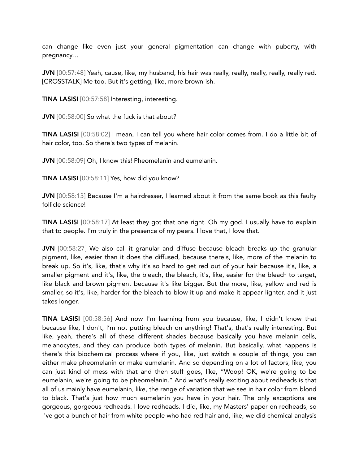can change like even just your general pigmentation can change with puberty, with pregnancy…

JVN [00:57:48] Yeah, cause, like, my husband, his hair was really, really, really, really, really red. [CROSSTALK] Me too. But it's getting, like, more brown-ish.

TINA LASISI [00:57:58] Interesting, interesting.

JVN [00:58:00] So what the fuck is that about?

TINA LASISI [00:58:02] I mean, I can tell you where hair color comes from. I do a little bit of hair color, too. So there's two types of melanin.

JVN [00:58:09] Oh, I know this! Pheomelanin and eumelanin.

TINA LASISI [00:58:11] Yes, how did you know?

JVN [00:58:13] Because I'm a hairdresser, I learned about it from the same book as this faulty follicle science!

TINA LASISI [00:58:17] At least they got that one right. Oh my god. I usually have to explain that to people. I'm truly in the presence of my peers. I love that, I love that.

JVN [00:58:27] We also call it granular and diffuse because bleach breaks up the granular pigment, like, easier than it does the diffused, because there's, like, more of the melanin to break up. So it's, like, that's why it's so hard to get red out of your hair because it's, like, a smaller pigment and it's, like, the bleach, the bleach, it's, like, easier for the bleach to target, like black and brown pigment because it's like bigger. But the more, like, yellow and red is smaller, so it's, like, harder for the bleach to blow it up and make it appear lighter, and it just takes longer.

TINA LASISI [00:58:56] And now I'm learning from you because, like, I didn't know that because like, I don't, I'm not putting bleach on anything! That's, that's really interesting. But like, yeah, there's all of these different shades because basically you have melanin cells, melanocytes, and they can produce both types of melanin. But basically, what happens is there's this biochemical process where if you, like, just switch a couple of things, you can either make pheomelanin or make eumelanin. And so depending on a lot of factors, like, you can just kind of mess with that and then stuff goes, like, "Woop! OK, we're going to be eumelanin, we're going to be pheomelanin." And what's really exciting about redheads is that all of us mainly have eumelanin, like, the range of variation that we see in hair color from blond to black. That's just how much eumelanin you have in your hair. The only exceptions are gorgeous, gorgeous redheads. I love redheads. I did, like, my Masters' paper on redheads, so I've got a bunch of hair from white people who had red hair and, like, we did chemical analysis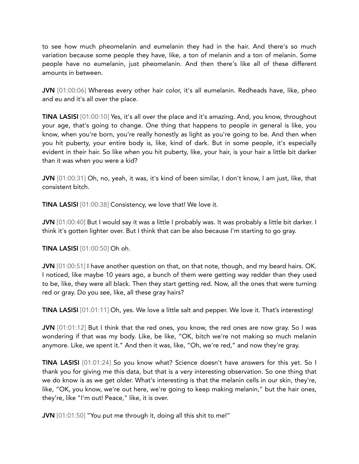to see how much pheomelanin and eumelanin they had in the hair. And there's so much variation because some people they have, like, a ton of melanin and a ton of melanin. Some people have no eumelanin, just pheomelanin. And then there's like all of these different amounts in between.

JVN [01:00:06] Whereas every other hair color, it's all eumelanin. Redheads have, like, pheo and eu and it's all over the place.

TINA LASISI [01:00:10] Yes, it's all over the place and it's amazing. And, you know, throughout your age, that's going to change. One thing that happens to people in general is like, you know, when you're born, you're really honestly as light as you're going to be. And then when you hit puberty, your entire body is, like, kind of dark. But in some people, it's especially evident in their hair. So like when you hit puberty, like, your hair, is your hair a little bit darker than it was when you were a kid?

JVN [01:00:31] Oh, no, yeah, it was, it's kind of been similar, I don't know, I am just, like, that consistent bitch.

TINA LASISI [01:00:38] Consistency, we love that! We love it.

JVN [01:00:40] But I would say it was a little I probably was. It was probably a little bit darker. I think it's gotten lighter over. But I think that can be also because I'm starting to go gray.

TINA LASISI [01:00:50] Oh oh.

JVN [01:00:51] I have another question on that, on that note, though, and my beard hairs. OK. I noticed, like maybe 10 years ago, a bunch of them were getting way redder than they used to be, like, they were all black. Then they start getting red. Now, all the ones that were turning red or gray. Do you see, like, all these gray hairs?

TINA LASISI [01:01:11] Oh, yes. We love a little salt and pepper. We love it. That's interesting!

JVN [01:01:12] But I think that the red ones, you know, the red ones are now gray. So I was wondering if that was my body. Like, be like, "OK, bitch we're not making so much melanin anymore. Like, we spent it." And then it was, like, "Oh, we're red," and now they're gray.

TINA LASISI [01:01:24] So you know what? Science doesn't have answers for this yet. So I thank you for giving me this data, but that is a very interesting observation. So one thing that we do know is as we get older. What's interesting is that the melanin cells in our skin, they're, like, "OK, you know, we're out here, we're going to keep making melanin," but the hair ones, they're, like "I'm out! Peace," like, it is over.

JVN [01:01:50] "You put me through it, doing all this shit to me!"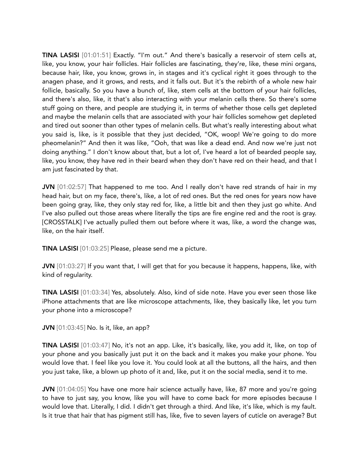TINA LASISI [01:01:51] Exactly. "I'm out." And there's basically a reservoir of stem cells at, like, you know, your hair follicles. Hair follicles are fascinating, they're, like, these mini organs, because hair, like, you know, grows in, in stages and it's cyclical right it goes through to the anagen phase, and it grows, and rests, and it falls out. But it's the rebirth of a whole new hair follicle, basically. So you have a bunch of, like, stem cells at the bottom of your hair follicles, and there's also, like, it that's also interacting with your melanin cells there. So there's some stuff going on there, and people are studying it, in terms of whether those cells get depleted and maybe the melanin cells that are associated with your hair follicles somehow get depleted and tired out sooner than other types of melanin cells. But what's really interesting about what you said is, like, is it possible that they just decided, "OK, woop! We're going to do more pheomelanin?" And then it was like, "Ooh, that was like a dead end. And now we're just not doing anything." I don't know about that, but a lot of, I've heard a lot of bearded people say, like, you know, they have red in their beard when they don't have red on their head, and that I am just fascinated by that.

JVN [01:02:57] That happened to me too. And I really don't have red strands of hair in my head hair, but on my face, there's, like, a lot of red ones. But the red ones for years now have been going gray, like, they only stay red for, like, a little bit and then they just go white. And I've also pulled out those areas where literally the tips are fire engine red and the root is gray. [CROSSTALK] I've actually pulled them out before where it was, like, a word the change was, like, on the hair itself.

TINA LASISI [01:03:25] Please, please send me a picture.

JVN [01:03:27] If you want that, I will get that for you because it happens, happens, like, with kind of regularity.

TINA LASISI [01:03:34] Yes, absolutely. Also, kind of side note. Have you ever seen those like iPhone attachments that are like microscope attachments, like, they basically like, let you turn your phone into a microscope?

**JVN** [01:03:45] No. Is it, like, an app?

TINA LASISI [01:03:47] No, it's not an app. Like, it's basically, like, you add it, like, on top of your phone and you basically just put it on the back and it makes you make your phone. You would love that. I feel like you love it. You could look at all the buttons, all the hairs, and then you just take, like, a blown up photo of it and, like, put it on the social media, send it to me.

JVN [01:04:05] You have one more hair science actually have, like, 87 more and you're going to have to just say, you know, like you will have to come back for more episodes because I would love that. Literally, I did. I didn't get through a third. And like, it's like, which is my fault. Is it true that hair that has pigment still has, like, five to seven layers of cuticle on average? But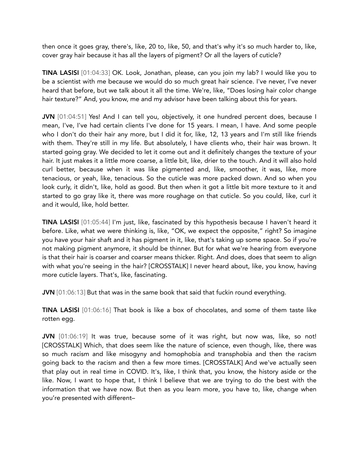then once it goes gray, there's, like, 20 to, like, 50, and that's why it's so much harder to, like, cover gray hair because it has all the layers of pigment? Or all the layers of cuticle?

TINA LASISI [01:04:33] OK. Look, Jonathan, please, can you join my lab? I would like you to be a scientist with me because we would do so much great hair science. I've never, I've never heard that before, but we talk about it all the time. We're, like, "Does losing hair color change hair texture?" And, you know, me and my advisor have been talking about this for years.

JVN [01:04:51] Yes! And I can tell you, objectively, it one hundred percent does, because I mean, I've, I've had certain clients I've done for 15 years. I mean, I have. And some people who I don't do their hair any more, but I did it for, like, 12, 13 years and I'm still like friends with them. They're still in my life. But absolutely, I have clients who, their hair was brown. It started going gray. We decided to let it come out and it definitely changes the texture of your hair. It just makes it a little more coarse, a little bit, like, drier to the touch. And it will also hold curl better, because when it was like pigmented and, like, smoother, it was, like, more tenacious, or yeah, like, tenacious. So the cuticle was more packed down. And so when you look curly, it didn't, like, hold as good. But then when it got a little bit more texture to it and started to go gray like it, there was more roughage on that cuticle. So you could, like, curl it and it would, like, hold better.

TINA LASISI [01:05:44] I'm just, like, fascinated by this hypothesis because I haven't heard it before. Like, what we were thinking is, like, "OK, we expect the opposite," right? So imagine you have your hair shaft and it has pigment in it, like, that's taking up some space. So if you're not making pigment anymore, it should be thinner. But for what we're hearing from everyone is that their hair is coarser and coarser means thicker. Right. And does, does that seem to align with what you're seeing in the hair? [CROSSTALK] I never heard about, like, you know, having more cuticle layers. That's, like, fascinating.

JVN [01:06:13] But that was in the same book that said that fuckin round everything.

TINA LASISI [01:06:16] That book is like a box of chocolates, and some of them taste like rotten egg.

JVN [01:06:19] It was true, because some of it was right, but now was, like, so not! [CROSSTALK] Which, that does seem like the nature of science, even though, like, there was so much racism and like misogyny and homophobia and transphobia and then the racism going back to the racism and then a few more times. [CROSSTALK] And we've actually seen that play out in real time in COVID. It's, like, I think that, you know, the history aside or the like. Now, I want to hope that, I think I believe that we are trying to do the best with the information that we have now. But then as you learn more, you have to, like, change when you're presented with different–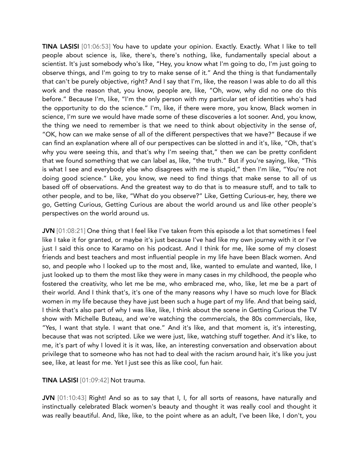TINA LASISI [01:06:53] You have to update your opinion. Exactly. Exactly. What I like to tell people about science is, like, there's, there's nothing, like, fundamentally special about a scientist. It's just somebody who's like, "Hey, you know what I'm going to do, I'm just going to observe things, and I'm going to try to make sense of it." And the thing is that fundamentally that can't be purely objective, right? And I say that I'm, like, the reason I was able to do all this work and the reason that, you know, people are, like, "Oh, wow, why did no one do this before." Because I'm, like, "I'm the only person with my particular set of identities who's had the opportunity to do the science." I'm, like, if there were more, you know, Black women in science, I'm sure we would have made some of these discoveries a lot sooner. And, you know, the thing we need to remember is that we need to think about objectivity in the sense of, "OK, how can we make sense of all of the different perspectives that we have?" Because if we can find an explanation where all of our perspectives can be slotted in and it's, like, "Oh, that's why you were seeing this, and that's why I'm seeing that," then we can be pretty confident that we found something that we can label as, like, "the truth." But if you're saying, like, "This is what I see and everybody else who disagrees with me is stupid," then I'm like, "You're not doing good science." Like, you know, we need to find things that make sense to all of us based off of observations. And the greatest way to do that is to measure stuff, and to talk to other people, and to be, like, "What do you observe?" Like, Getting Curious-er, hey, there we go, Getting Curious, Getting Curious are about the world around us and like other people's perspectives on the world around us.

JVN [01:08:21] One thing that I feel like I've taken from this episode a lot that sometimes I feel like I take it for granted, or maybe it's just because I've had like my own journey with it or I've just I said this once to Karamo on his podcast. And I think for me, like some of my closest friends and best teachers and most influential people in my life have been Black women. And so, and people who I looked up to the most and, like, wanted to emulate and wanted, like, I just looked up to them the most like they were in many cases in my childhood, the people who fostered the creativity, who let me be me, who embraced me, who, like, let me be a part of their world. And I think that's, it's one of the many reasons why I have so much love for Black women in my life because they have just been such a huge part of my life. And that being said, I think that's also part of why I was like, like, I think about the scene in Getting Curious the TV show with Michelle Buteau, and we're watching the commercials, the 80s commercials, like, "Yes, I want that style. I want that one." And it's like, and that moment is, it's interesting, because that was not scripted. Like we were just, like, watching stuff together. And it's like, to me, it's part of why I loved it is it was, like, an interesting conversation and observation about privilege that to someone who has not had to deal with the racism around hair, it's like you just see, like, at least for me. Yet I just see this as like cool, fun hair.

#### TINA LASISI [01:09:42] Not trauma.

JVN [01:10:43] Right! And so as to say that I, I, for all sorts of reasons, have naturally and instinctually celebrated Black women's beauty and thought it was really cool and thought it was really beautiful. And, like, like, to the point where as an adult, I've been like, I don't, you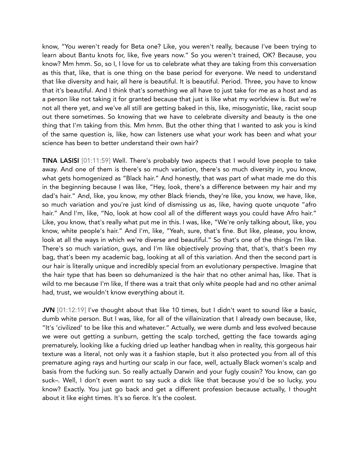know, "You weren't ready for Beta one? Like, you weren't really, because I've been trying to learn about Bantu knots for, like, five years now." So you weren't trained, OK? Because, you know? Mm hmm. So, so I, I love for us to celebrate what they are taking from this conversation as this that, like, that is one thing on the base period for everyone. We need to understand that like diversity and hair, all here is beautiful. It is beautiful. Period. Three, you have to know that it's beautiful. And I think that's something we all have to just take for me as a host and as a person like not taking it for granted because that just is like what my worldview is. But we're not all there yet, and we've all still are getting baked in this, like, misogynistic, like, racist soup out there sometimes. So knowing that we have to celebrate diversity and beauty is the one thing that I'm taking from this. Mm hmm. But the other thing that I wanted to ask you is kind of the same question is, like, how can listeners use what your work has been and what your science has been to better understand their own hair?

TINA LASISI [01:11:59] Well. There's probably two aspects that I would love people to take away. And one of them is there's so much variation, there's so much diversity in, you know, what gets homogenized as "Black hair." And honestly, that was part of what made me do this in the beginning because I was like, "Hey, look, there's a difference between my hair and my dad's hair." And, like, you know, my other Black friends, they're like, you know, we have, like, so much variation and you're just kind of dismissing us as, like, having quote unquote "afro hair." And I'm, like, "No, look at how cool all of the different ways you could have Afro hair." Like, you know, that's really what put me in this. I was, like, "We're only talking about, like, you know, white people's hair." And I'm, like, "Yeah, sure, that's fine. But like, please, you know, look at all the ways in which we're diverse and beautiful." So that's one of the things I'm like. There's so much variation, guys, and I'm like objectively proving that, that's, that's been my bag, that's been my academic bag, looking at all of this variation. And then the second part is our hair is literally unique and incredibly special from an evolutionary perspective. Imagine that the hair type that has been so dehumanized is the hair that no other animal has, like. That is wild to me because I'm like, If there was a trait that only white people had and no other animal had, trust, we wouldn't know everything about it.

JVN [01:12:19] I've thought about that like 10 times, but I didn't want to sound like a basic, dumb white person. But I was, like, for all of the villainization that I already own because, like, "It's 'civilized' to be like this and whatever." Actually, we were dumb and less evolved because we were out getting a sunburn, getting the scalp torched, getting the face towards aging prematurely, looking like a fucking dried up leather handbag when in reality, this gorgeous hair texture was a literal, not only was it a fashion staple, but it also protected you from all of this premature aging rays and hurting our scalp in our face, well, actually Black women's scalp and basis from the fucking sun. So really actually Darwin and your fugly cousin? You know, can go suck–. Well, I don't even want to say suck a dick like that because you'd be so lucky, you know? Exactly. You just go back and get a different profession because actually, I thought about it like eight times. It's so fierce. It's the coolest.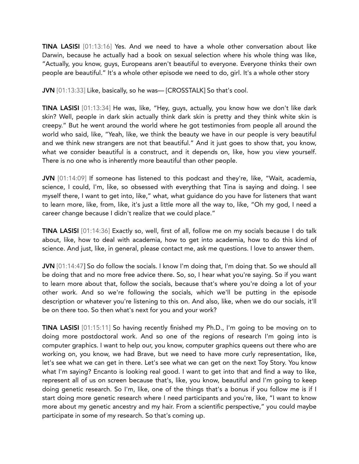TINA LASISI [01:13:16] Yes. And we need to have a whole other conversation about like Darwin, because he actually had a book on sexual selection where his whole thing was like, "Actually, you know, guys, Europeans aren't beautiful to everyone. Everyone thinks their own people are beautiful." It's a whole other episode we need to do, girl. It's a whole other story

JVN [01:13:33] Like, basically, so he was— [CROSSTALK] So that's cool.

TINA LASISI [01:13:34] He was, like, "Hey, guys, actually, you know how we don't like dark skin? Well, people in dark skin actually think dark skin is pretty and they think white skin is creepy." But he went around the world where he got testimonies from people all around the world who said, like, "Yeah, like, we think the beauty we have in our people is very beautiful and we think new strangers are not that beautiful." And it just goes to show that, you know, what we consider beautiful is a construct, and it depends on, like, how you view yourself. There is no one who is inherently more beautiful than other people.

JVN [01:14:09] If someone has listened to this podcast and they're, like, "Wait, academia, science, I could, I'm, like, so obsessed with everything that Tina is saying and doing. I see myself there, I want to get into, like," what, what guidance do you have for listeners that want to learn more, like, from, like, it's just a little more all the way to, like, "Oh my god, I need a career change because I didn't realize that we could place."

TINA LASISI [01:14:36] Exactly so, well, first of all, follow me on my socials because I do talk about, like, how to deal with academia, how to get into academia, how to do this kind of science. And just, like, in general, please contact me, ask me questions. I love to answer them.

JVN [01:14:47] So do follow the socials. I know I'm doing that, I'm doing that. So we should all be doing that and no more free advice there. So, so, I hear what you're saying. So if you want to learn more about that, follow the socials, because that's where you're doing a lot of your other work. And so we're following the socials, which we'll be putting in the episode description or whatever you're listening to this on. And also, like, when we do our socials, it'll be on there too. So then what's next for you and your work?

TINA LASISI [01:15:11] So having recently finished my Ph.D., I'm going to be moving on to doing more postdoctoral work. And so one of the regions of research I'm going into is computer graphics. I want to help our, you know, computer graphics queens out there who are working on, you know, we had Brave, but we need to have more curly representation, like, let's see what we can get in there. Let's see what we can get on the next Toy Story. You know what I'm saying? Encanto is looking real good. I want to get into that and find a way to like, represent all of us on screen because that's, like, you know, beautiful and I'm going to keep doing genetic research. So I'm, like, one of the things that's a bonus if you follow me is if I start doing more genetic research where I need participants and you're, like, "I want to know more about my genetic ancestry and my hair. From a scientific perspective," you could maybe participate in some of my research. So that's coming up.